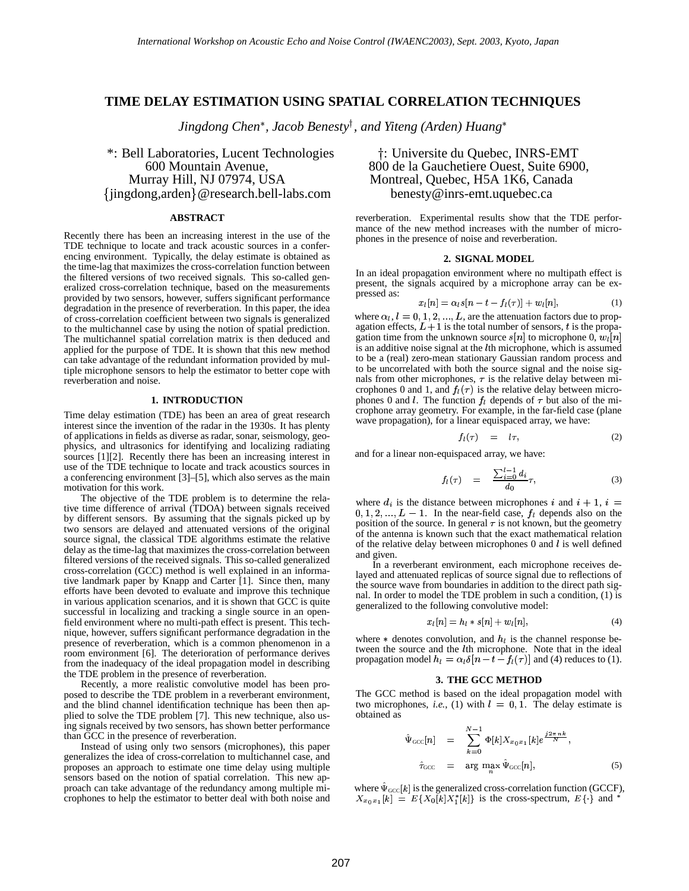# **TIME DELAY ESTIMATION USING SPATIAL CORRELATION TECHNIQUES**

*Jingdong Chen , Jacob Benesty , and Yiteng (Arden) Huang*

\*: Bell Laboratories, Lucent Technologies jingdong,arden @research.bell-labs.com benesty@inrs-emt.uquebec.ca

# **ABSTRACT**

Recently there has been an increasing interest in the use of the TDE technique to locate and track acoustic sources in a conferencing environment. Typically, the delay estimate is obtained as the time-lag that maximizes the cross-correlation function between the filtered versions of two received signals. This so-called generalized cross-correlation technique, based on the measurements provided by two sensors, however, suffers significant performance degradation in the presence of reverberation. In this paper, the idea of cross-correlation coefficient between two signals is generalized to the multichannel case by using the notion of spatial prediction. The multichannel spatial correlation matrix is then deduced and applied for the purpose of TDE. It is shown that this new method can take advantage of the redundant information provided by multiple microphone sensors to help the estimator to better cope with reverberation and noise.

#### **1. INTRODUCTION**

Time delay estimation (TDE) has been an area of great research interest since the invention of the radar in the 1930s. It has plenty of applications in fields as diverse as radar, sonar, seismology, geophysics, and ultrasonics for identifying and localizing radiating sources [1][2]. Recently there has been an increasing interest in use of the TDE technique to locate and track acoustics sources in a conferencing environment [3]–[5], which also serves as the main motivation for this work.

The objective of the TDE problem is to determine the relative time difference of arrival (TDOA) between signals received by different sensors. By assuming that the signals picked up by two sensors are delayed and attenuated versions of the original source signal, the classical TDE algorithms estimate the relative delay as the time-lag that maximizes the cross-correlation between filtered versions of the received signals. This so-called generalized cross-correlation (GCC) method is well explained in an informative landmark paper by Knapp and Carter [1]. Since then, many efforts have been devoted to evaluate and improve this technique in various application scenarios, and it is shown that GCC is quite successful in localizing and tracking a single source in an openfield environment where no multi-path effect is present. This technique, however, suffers significant performance degradation in the presence of reverberation, which is a common phenomenon in a room environment [6]. The deterioration of performance derives from the inadequacy of the ideal propagation model in describing the TDE problem in the presence of reverberation.

Recently, a more realistic convolutive model has been proposed to describe the TDE problem in a reverberant environment, and the blind channel identification technique has been then applied to solve the TDE problem [7]. This new technique, also using signals received by two sensors, has shown better performance than GCC in the presence of reverberation.

Instead of using only two sensors (microphones), this paper generalizes the idea of cross-correlation to multichannel case, and proposes an approach to estimate one time delay using multiple sensors based on the notion of spatial correlation. This new approach can take advantage of the redundancy among multiple microphones to help the estimator to better deal with both noise and

# : Universite du Quebec, INRS-EMT 600 Mountain Avenue, 800 de la Gauchetiere Ouest, Suite 6900,<br>Murray Hill, NJ 07974, USA Montreal, Quebec, H5A 1K6, Canada Montreal, Quebec, H5A 1K6, Canada

reverberation. Experimental results show that the TDE performance of the new method increases with the number of microphones in the presence of noise and reverberation.

# **2. SIGNAL MODEL**

In an ideal propagation environment where no multipath effect is present, the signals acquired by a microphone array can be expressed as: 

$$
x_l[n] = \alpha_l s[n - t - f_l(\tau)] + w_l[n], \qquad (1)
$$

where  $\alpha_l$ ,  $l = 0, 1, 2, ..., L$ , are the attenuation factors due to propagation effects,  $L+1$  is the total number of sensors, t is the propagation time from the unknown source  $s[n]$  to microphone 0,  $w_l[n]$ is an additive noise signal at the  $l$ th microphone, which is assumed to be a (real) zero-mean stationary Gaussian random process and to be uncorrelated with both the source signal and the noise signals from other microphones,  $\tau$  is the relative delay between microphones 0 and 1, and  $f_l(\tau)$  is the relative delay between microphones 0 and *l*. The function  $f_l$  depends of  $\tau$  but also of the microphone array geometry. For example, in the far-field case (plane wave propagation), for a linear equispaced array, we have:

$$
f_l(\tau) = l\tau, \tag{2}
$$

and for a linear non-equispaced array, we have:

f

$$
f_l(\tau) = \frac{\sum_{i=0}^{l-1} d_i}{d_0} \tau, \tag{3}
$$

where  $d_i$  is the distance between microphones i and  $i + 1$ ,  $i =$  $0, 1, 2, \ldots, L-1$ . In the near-field case,  $f_l$  depends also on the position of the source. In general  $\tau$  is not known, but the geometry of the antenna is known such that the exact mathematical relation of the relative delay between microphones  $0$  and  $l$  is well defined and given.

In a reverberant environment, each microphone receives delayed and attenuated replicas of source signal due to reflections of the source wave from boundaries in addition to the direct path signal. In order to model the TDE problem in such a condition, (1) is generalized to the following convolutive model:

$$
x_l[n] = h_l * s[n] + w_l[n], \tag{4}
$$

where  $\ast$  denotes convolution, and  $h_l$  is the channel response between the source and the *l*th microphone. Note that in the ideal propagation model  $h_l = \alpha_l \delta[n - t - f_l(\tau)]$  and (4) reduces to (1).

# **3. THE GCC METHOD**

The GCC method is based on the ideal propagation model with two microphones, *i.e.*, (1) with  $l = 0, 1$ . The delay estimate is obtained as

$$
\begin{aligned}\n\hat{\Psi}_{\text{GCC}}[n] &= \sum_{k=0}^{N-1} \Phi[k] X_{x_0 x_1}[k] e^{\frac{j 2 \pi n k}{N}}, \\
\hat{\tau}_{\text{GCC}} &= \arg \max_{n} \hat{\Psi}_{\text{GCC}}[n],\n\end{aligned} \tag{5}
$$

where  $\hat{\Psi}_{\text{GCC}}[k]$  is the generalized cross-correlation function (GCCF),  $\overline{\mathfrak{g}}[k]X_1^*[k]$  is the cross-spectrum,  $E\{\}$  and \*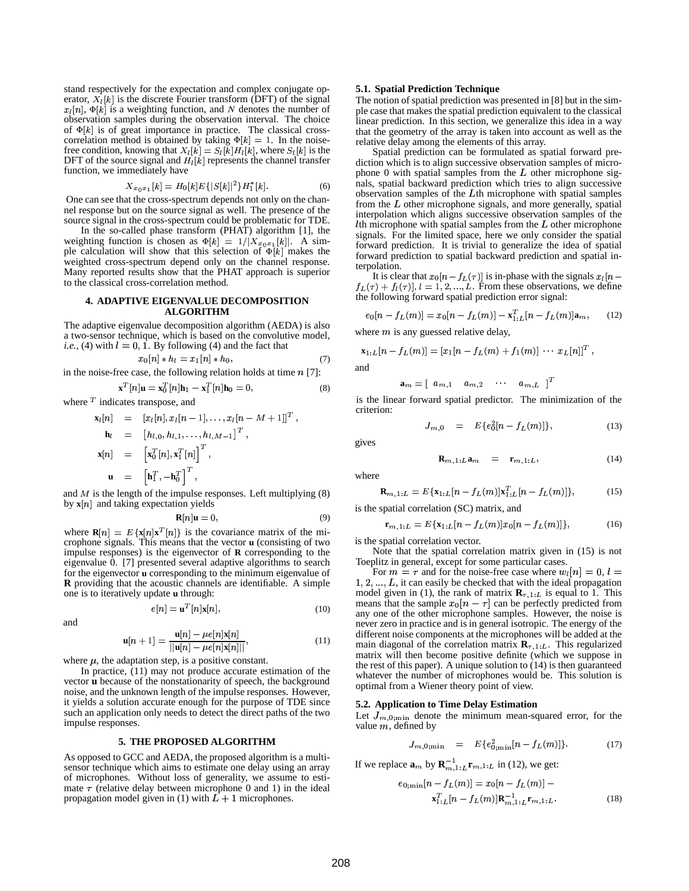stand respectively for the expectation and complex conjugate operator,  $X_l[k]$  is the discrete Fourier transform (DFT) of the signal ,  $\Phi[k]$  is a weighting function, and N denotes the number of observation samples during the observation interval. The choice of  $\Phi[k]$  is of greater of  $\Phi[k]$  $[k]$  is of great importance in practice. The classical crosscorrelation method is obtained by taking  $\Phi[k] = 1$ . In the noisefree condition, knowing that  $X_l[k] = S_l[k]H_l[k]$ , where  $S_l[k]$  is the DFT of the source signal and  $H_l[k]$  represents the channel transfer function, we immediately have

$$
X_{x_0x_1}[k] = H_0[k]E\{|S[k]|^2\}H_1^*[k].\tag{6}
$$

One can see that the cross-spectrum depends not only on the channel response but on the source signal as well. The presence of the source signal in the cross-spectrum could be problematic for TDE.

In the so-called phase transform (PHAT) algorithm [1], the weighting function is chosen as  $\Phi[k] = 1/|X_{ab}|$ <br>and calculation will show that this selection of  $[k] = 1/[X_{x_0x_1}[k]].$  A simple calculation will show that this selection of  $\Phi[k]$  makes the weighted cross-spectrum depend only on the channel response. Many reported results show that the PHAT approach is superior to the classical cross-correlation method.

#### **4. ADAPTIVE EIGENVALUE DECOMPOSITION ALGORITHM**

The adaptive eigenvalue decomposition algorithm (AEDA) is also a two-sensor technique, which is based on the convolutive model, *i.e.*, (4) with  $l = 0, 1$ . By following (4) and the fact that

$$
x_0[n] * h_l = x_1[n] * h_0,\t\t(7)
$$

in the noise-free case, the following relation holds at time  $n$  [7]:

$$
\mathbf{x}^{T}[n]\mathbf{u} = \mathbf{x}_{0}^{T}[n]\mathbf{h}_{1} - \mathbf{x}_{1}^{T}[n]\mathbf{h}_{0} = 0, \qquad (8)
$$

where  $\bar{T}$  indicates transpose, and

$$
\mathbf{x}_{l}[n] = [x_{l}[n], x_{l}[n-1],..., x_{l}[n-M+1]]^{T},
$$
\n
$$
\mathbf{h}_{l} = [h_{l,0}, h_{l,1},..., h_{l,M-1}]^{T},
$$
\n
$$
\mathbf{x}[n] = [ \mathbf{x}_{0}^{T}[n], \mathbf{x}_{1}^{T}[n] ]^{T},
$$
\n
$$
\mathbf{u} = [\mathbf{h}_{1}^{T}, -\mathbf{h}_{0}^{T}]^{T},
$$

and  $M$  is the length of the impulse responses. Left multiplying  $(8)$ by  $\mathbf{x}[n]$  and taking expectation yields

$$
\mathbf{R}[n]\mathbf{u} = 0,\t\t(9)
$$

where  $\mathbf{R}[n] = E\{\mathbf{x}[n]\mathbf{x}^T[n]\}$  is the covariance matrix of the microphone signals. This means that the vector **u** (consisting of two impulse responses) is the eigenvector of **R** corresponding to the eigenvalue 0. [7] presented several adaptive algorithms to search for the eigenvector **u** corresponding to the minimum eigenvalue of **R** providing that the acoustic channels are identifiable. A simple one is to iteratively update **u** through:

$$
e[n] = \mathbf{u}^T[n|\mathbf{x}[n],\tag{10}
$$

and

$$
\mathbf{u}[n+1] = \frac{\mathbf{u}[n] - \mu e[n] \mathbf{x}[n]}{||\mathbf{u}[n] - \mu e[n] \mathbf{x}[n]||},
$$
(11)

where  $\mu$ , the adaptation step, is a positive constant.

In practice, (11) may not produce accurate estimation of the vector **u** because of the nonstationarity of speech, the background noise, and the unknown length of the impulse responses. However, it yields a solution accurate enough for the purpose of TDE since such an application only needs to detect the direct paths of the two impulse responses.

#### **5. THE PROPOSED ALGORITHM**

As opposed to GCC and AEDA, the proposed algorithm is a multisensor technique which aims to estimate one delay using an array of microphones. Without loss of generality, we assume to estimate  $\tau$  (relative delay between microphone 0 and 1) in the ideal propagation model given in (1) with  $\overline{L} + 1$  microphones.

#### **5.1. Spatial Prediction Technique**

The notion of spatial prediction was presented in [8] but in the simple case that makes the spatial prediction equivalent to the classical linear prediction. In this section, we generalize this idea in a way that the geometry of the array is taken into account as well as the relative delay among the elements of this array.

Spatial prediction can be formulated as spatial forward prediction which is to align successive observation samples of microphone  $0$  with spatial samples from the  $L$  other microphone signals, spatial backward prediction which tries to align successive observation samples of the  $L$ th microphone with spatial samples from the  $L$  other microphone signals, and more generally, spatial interpolation which aligns successive observation samples of the Ith microphone with spatial samples from the  $L$  other microphone signals. For the limited space, here we only consider the spatial forward prediction. It is trivial to generalize the idea of spatial forward prediction to spatial backward prediction and spatial interpolation.

It is clear that  $x_0[n - f_L(\tau)]$  is in-phase with the signals  $x_l$  $f_L(\tau) + f_l(\tau)$ ,  $l = 1, 2, ..., L$ . From these observations, we define the following forward spatial prediction error signal:

$$
e_0[n - f_L(m)] = x_0[n - f_L(m)] - \mathbf{x}_{1:L}^T[n - f_L(m)]\mathbf{a}_m, \qquad (12)
$$

where  $m$  is any guessed relative delay,

$$
\mathbf{x}_{1:L}[n-f_L(m)] = [x_1[n-f_L(m)+f_1(m)] \cdots x_L[n]]^T,
$$
  
and

$$
\mathbf{a}_m = [\begin{array}{cccc} a_{m,1} & a_{m,2} & \cdots & a_{m,L} \end{array}]^T
$$

is the linear forward spatial predictor. The minimization of the criterion:

$$
J_{m,0} = E\{e_0^2[n - f_L(m)]\},\tag{13}
$$

the contract of the contract of the contract of the contract of the contract of the contract of the contract of

(14)

gives where

$$
\mathbf{R}_{m,1:L} = E\{\mathbf{x}_{1:L}[n - f_L(m)|\mathbf{x}_{1:L}^T[n - f_L(m)]\},\tag{15}
$$

 ${\bf R}_{m,1:L}$ **a**<sub>m</sub> =  ${\bf r}_{m,1:L}$ 

is the spatial correlation (SC) matrix, and

$$
\mathbf{r}_{m,1:L} = E\{\mathbf{x}_{1:L}[n - f_L(m)]x_0[n - f_L(m)]\},\tag{16}
$$

is the spatial correlation vector.

Note that the spatial correlation matrix given in (15) is not Toeplitz in general, except for some particular cases.

For  $m = \tau$  and for the noise-free case where  $w_l[n] = 0, l =$  $1, 2, \ldots, L$ , it can easily be checked that with the ideal propagation model given in (1), the rank of matrix  $\mathbf{R}_{\tau,1:L}$  is equal to 1. This means that the sample  $x_0[n - \tau]$  can be perfectly predicted from any one of the other microphone samples. However, the noise is never zero in practice and is in general isotropic. The energy of the different noise components at the microphones will be added at the main diagonal of the correlation matrix  $\mathbf{R}_{\tau,1:L}$ . This regularized matrix will then become positive definite (which we suppose in the rest of this paper). A unique solution to (14) is then guaranteed whatever the number of microphones would be. This solution is optimal from a Wiener theory point of view.

### **5.2. Application to Time Delay Estimation**

Let  $J_{m,0;\min}$  denote the minimum mean-squared error, for the value  $m$ , defined by

$$
J_{m,0;\min} = E\{e_{0;\min}^2[n - f_L(m)]\}.
$$
 (17)

If we replace  $\mathbf{a}_m$  by  $\mathbf{R}_{m,1:L}^{-1} \mathbf{r}_{m,1:L}$  in (12), we get:

$$
e_{0;\min}[n - f_L(m)] = x_0[n - f_L(m)] -
$$
  

$$
\mathbf{x}_{1:L}^T[n - f_L(m)]\mathbf{R}_{m,1:L}^{-1}\mathbf{r}_{m,1:L}.
$$
 (18)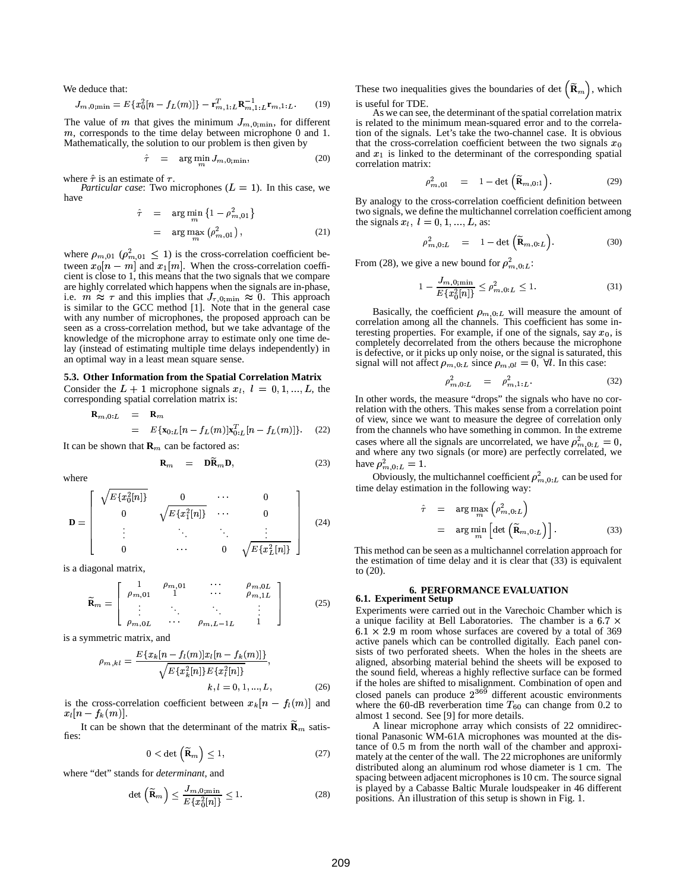We deduce that:

$$
J_{m,0;\min} = E\{x_0^2[n - f_L(m)]\} - \mathbf{r}_{m,1:L}^T \mathbf{R}_{m,1:L}^{-1} \mathbf{r}_{m,1:L}.
$$
 (19)

The value of m that gives the minimum  $J_{m,0;\text{min}}$ , for different  $m$ , corresponds to the time delay between microphone 0 and 1. Mathematically, the solution to our problem is then given by<br>  $\hat{\tau} = \arg \min J_{m,0,\min}$ .

$$
\hat{\tau} = \arg\min_{m} J_{m,0;\min}, \tag{20}
$$

where  $\hat{\tau}$  is an estimate of  $\tau$ .

*Particular case*: Two microphones  $(L = 1)$ . In this case, we have  $\overline{C}$ 

/

$$
\hat{\tau} = \arg\min_{m} \{ 1 - \rho_{m,01}^2 \}
$$

$$
= \arg\max_{m} (\rho_{m,01}^2), \qquad (21)
$$

where  $\rho_{m,01}$  ( $\rho_{m,01}^2 \leq 1$ ) /  $h_{01} \leq 1$ ) is the cross-correlation coefficient between  $x_0[n-m]$  and  $x_1[m]$ . When the cross-correlation coefficient is close to 1, this means that the two signals that we compare are highly correlated which happens when the signals are in-phase, i.e.  $m \approx \tau$  and this implies that  $J_{\tau,0;\min} \approx 0$ . This approach is similar to the GCC method [1]. Note that in the general case with any number of microphones, the proposed approach can be seen as a cross-correlation method, but we take advantage of the knowledge of the microphone array to estimate only one time delay (instead of estimating multiple time delays independently) in an optimal way in a least mean square sense.

# **5.3. Other Information from the Spatial Correlation Matrix** Consider the  $L + 1$  microphone signals  $x_i$ ,  $l = 0, 1, ..., L$ , the

corresponding spatial correlation matrix is:

$$
\mathbf{R}_{m,0:L} = \mathbf{R}_m
$$
  
=  $E{\mathbf{x}_{0:L}[n - f_L(m)]\mathbf{x}_{0:L}^T[n - f_L(m)]}$ . (22)

J 3que de la construcción de la construcción de la construcción de la construcción de la construcción de la c

It can be shown that  $\mathbf{R}_m$  can be factored as:

 $\overline{\phantom{a}}$  . The contract of the contract of the contract of the contract of the contract of the contract of the contract of the contract of the contract of the contract of the contract of the contract of the contract of

**R**/

$$
= \mathbf{DR}_m \mathbf{D}, \tag{23}
$$

\_\_

where

\_\_

$$
\mathbf{D} = \begin{bmatrix} \sqrt{E\{x_0^2[n]\}} & 0 & \cdots & 0 \\ 0 & \sqrt{E\{x_1^2[n]\}} & \cdots & 0 \\ \vdots & \ddots & \ddots & \vdots \\ 0 & \cdots & 0 & \sqrt{E\{x_L^2[n]\}} \end{bmatrix}
$$
 (24)

is a diagonal matrix,

$$
\widetilde{\mathbf{R}}_{m} = \left[ \begin{array}{cccc} 1 & \rho_{m,01} & \cdots & \rho_{m,0L} \\ \rho_{m,01} & 1 & \cdots & \rho_{m,1L} \\ \vdots & \ddots & \ddots & \vdots \\ \rho_{m,0L} & \cdots & \rho_{m,L-1L} & 1 \end{array} \right] \tag{25}
$$

is a symmetric matrix, and

$$
\rho_{m,kl} = \frac{E\{x_k[n - f_l(m)]x_l[n - f_k(m)]\}}{\sqrt{E\{x_k^2[n]\}E\{x_l^2[n]\}}},
$$
\n
$$
k, l = 0, 1, ..., L,
$$
\n(26)

is the cross-correlation coefficient between  $x_k[n - f_l(m)]$  and  $x_l[n-f_k(m)]$ .

It can be shown that the determinant of the matrix  $\widetilde{\mathbf{R}}_m$  satisfies:

$$
0 < \det\left(\widetilde{\mathbf{R}}_m\right) \le 1,\tag{27}
$$

where "det" stands for *determinant*, and

$$
\det\left(\widetilde{\mathbf{R}}_{m}\right) \leq \frac{J_{m,0;\min}}{E\{x_0^2[n]\}} \leq 1.
$$
\n(28)

These two inequalities gives the boundaries of det  $(\widetilde{\mathbf{R}}_m)$ , which is useful for TDE.

As we can see, the determinant of the spatial correlation matrix is related to the minimum mean-squared error and to the correlation of the signals. Let's take the two-channel case. It is obvious that the cross-correlation coefficient between the two signals  $x_0$ and  $x_1$  is linked to the determinant of the corresponding spatial correlation matrix:

$$
\rho_{m,01}^2 = 1 - \det\left(\widetilde{\mathbf{R}}_{m,0:1}\right). \tag{29}
$$

By analogy to the cross-correlation coefficient definition between two signals, we define the multichannel correlation coefficient among the signals  $x_l, l = 0, 1, ..., L$ , as:

$$
\rho_{m,0:L}^2 = 1 - \det\left(\widetilde{\mathbf{R}}_{m,0:L}\right). \tag{30}
$$

From (28), we give a new bound for  $\rho_{m,0:L}^2$ :

 $\hat{\tau}$ 

$$
1 - \frac{J_{m,0;\min}}{E\{x_0^2[n]\}} \le \rho_{m,0:L}^2 \le 1.
$$
 (31)

Basically, the coefficient  $\rho_{m,0:L}$  will measure the amount of correlation among all the channels. This coefficient has some interesting properties. For example, if one of the signals, say  $x_0$ , is completely decorrelated from the others because the microphone is defective, or it picks up only noise, or the signal is saturated, this signal will not affect  $\rho_{m,0:L}$  since  $\rho_{m,0l} = 0$ ,  $\forall l$ . In this case:

$$
\rho_{m,0:L}^2 = \rho_{m,1:L}^2. \tag{32}
$$

In other words, the measure "drops" the signals who have no correlation with the others. This makes sense from a correlation point of view, since we want to measure the degree of correlation only from the channels who have something in common. In the extreme cases where all the signals are uncorrelated, we have  $\rho_{m,0:L}^2 = 0$ ,  $\cdots = 0$ and where any two signals (or more) are perfectly correlated, we have  $\rho_{m,0:L}^2 = 1$ .  $\cdots$  $_{0:L} = 1.$ 

Obviously, the multichannel coefficient  $\rho_{m,0:L}^2$  can b /  $_{0:L}$  can be used for time delay estimation in the following way:

$$
= \arg \max_{m} \left( \rho_{m,0:L}^2 \right)
$$
  

$$
= \arg \min_{m} \left[ \det \left( \widetilde{\mathbf{R}}_{m,0:L} \right) \right]. \tag{33}
$$

This method can be seen as a multichannel correlation approach for the estimation of time delay and it is clear that (33) is equivalent to (20).

#### **6. PERFORMANCE EVALUATION 6.1. Experiment Setup**

Experiments were carried out in the Varechoic Chamber which is a unique facility at Bell Laboratories. The chamber is a  $6.7 \times$  $6.1 \times 2.9$  m room whose surfaces are covered by a total of 369 active panels which can be controlled digitally. Each panel consists of two perforated sheets. When the holes in the sheets are aligned, absorbing material behind the sheets will be exposed to the sound field, whereas a highly reflective surface can be formed if the holes are shifted to misalignment. Combination of open and closed panels can produce  $2^{369}$  different acoustic environments where the 60-dB reverberation time  $T_{60}$  can change from 0.2 to <sup>&</sup>lt; almost 1 second. See [9] for more details.

A linear microphone array which consists of 22 omnidirectional Panasonic WM-61A microphones was mounted at the distance of 0.5 m from the north wall of the chamber and approximately at the center of the wall. The 22 microphones are uniformly distributed along an aluminum rod whose diameter is 1 cm. The spacing between adjacent microphones is 10 cm. The source signal is played by a Cabasse Baltic Murale loudspeaker in 46 different positions. An illustration of this setup is shown in Fig. 1.